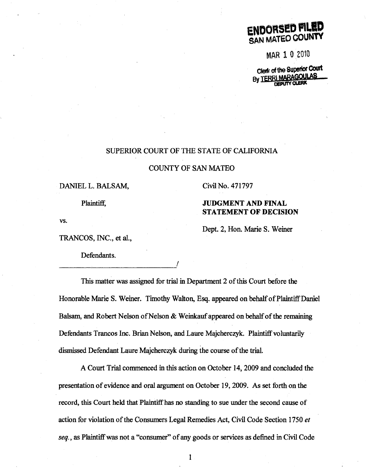

MAR 1 0 2010

Clerk of the Superior Court **By TER** 

# SUPERIOR COURT OF THE STATE OF CALIFORNIA

## COUNTY OF SAN MATEO

## DANIEL L. BALSAM, Civil No. 471797

Plaintiff.

# JUDGMENT AND FINAL STATEMENT OF DECISION

Dept. 2, Hon. Marie S. Weiner

vs.

TRANCOS, INC., et al.,

Defendants.

*\_\_\_\_\_\_* ~--------------~I

This matter was assigned for trial in Department 2 of this Court before the Honorable Marie S. Weiner. Timothy Walton, Esq. appeared on behalf of Plaintiff Daniel Balsam, and Robert Nelson of Nelson & Weinkauf appeared on behalf of the remaining Defendants Trancos Inc. Brian Nelson, and Laure Majcherczyk. Plaintiff voluntarily dismissed Defendant Laure Majcherczyk during the course of the trial.

A Court Trial commenced in this action on October 14, 2009 and concluded the presentation of evidence and oral argument on October 19,2009. As set forth on the record, this Court held that Plaintiff has no standing to sue under the second cause of action for violation of the Consumers Legal Remedies Act, Civil Code Section 1750 *et seq.*, as Plaintiff was not a "consumer" of any goods or services as defined in Civil Code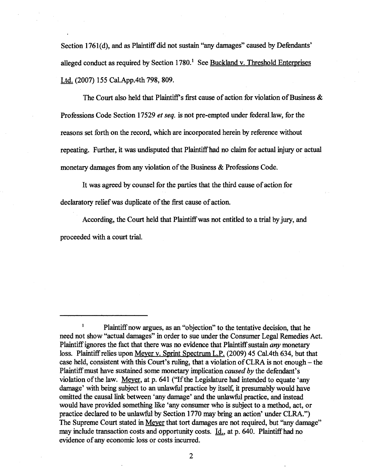Section 1761(d), and as Plaintiff did not sustain "any damages" caused by Defendants' alleged conduct as required by Section  $1780$ .<sup>1</sup> See Buckland v. Threshold Enterprises Ltd. (2007) 155 Cal. App. 4th 798, 809.

The Court also held that Plaintiff's first cause of action for violation of Business  $\&$ Professions Code Section 17529 *et seq.* is not pre-empted under federal, law, for the reasons set forth on the record, which are incorporated herein by reference without repeating. Further, it was undisputed that Plaintiffhad no claim for actual injury or actual monetary damages from any violation of the Business & Professions Code.

It was agreed by counsel for the parties that the third cause of action for declaratory relief was duplicate of the first cause of action.

According, the Court held that Plaintiffwas not entitled to a trial by jury, and proceeded with a court trial.

Plaintiff now argues, as an "objection" to the tentative decision, that he need not show "actual damages" in order to sue under the Consumer Legal Remedies Act. Plaintiff ignores the fact that there was no evidence that Plaintiff sustain *any* monetary loss. Plaintiff relies upon Meyer v. Sprint Spectrum L.P. (2009) 45 Cal.4th 634, but that case held, consistent with this Court's ruling, that a violation of CLRA is not enough  $-$  the Plaintiffmust have sustained some monetary implication *caused by* the defendant's violation of the law. Meyer, at p. 641 ("If the Legislature had intended to equate 'any damage' with being subject to an unlawful practice by itself, it presumably would have omitted the causal link between 'any damage' and the unlawful practice. and instead would have provided something like 'any consumer who is subject to a method, act, or practice declared to be unlawful by Section 1770 may bring an action' under CLRA.") The Supreme Court stated in Meyer that tort damages are not required, but "any damage" may include transaction costs and opportunity costs. Id., at p. 640. Plaintiffhad no evidence of any economic loss or costs incurred.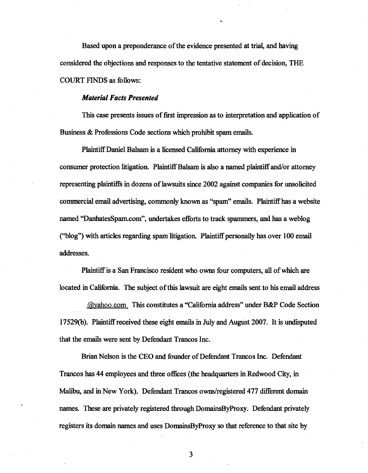Based upon a preponderance of the evidence presented at trial, and having considered the objections and responses to the tentative statement of decision, THE COURT FINDS as follows:

## *Material Facts Presented*

This case presents issues of first impression as to interpretation and application of Business & Professions C04e sections which prohibit spam emails.

Plaintiff Daniel Balsam is a licensed California attorney with experience in consumer protection litigation. Plaintiff Balsam is also a named plaintiff and/or attorney representing plaintiffs in dozens of lawsuits since 2002 against companies for unsolicited commercial email advertising, commonly known as "spam" emails. Plaintiffhas a website named "DanhatesSpam.com", undertakes efforts to track spammers, and has a weblog ("blog") with articles regarding spam litigation. Plaintiff personally has over 100 email addresses.

Plaintiff is a San Francisco resident who owns four computers, all of which are located in California. The subject of this lawsuit are eight emails sent to his email address

.@yahoo.com. This constitutes a "California address" under B&P Code Section 17529(b). Plaintiff received these eight emails in July and August 2007. It is undisputed that the emails were sent by Defendant Trancos Inc.

Brian Nelson is the CEO and founder of Defendant Trancos Inc. Defendant Trancos has 44 employees and three offices (the headquarters in Redwood City, in Malibu, and in New York). Defendant Trancos owns/registered 477 different domain names. These are privately registered through DomainsByProxy. Defendant privately registers its domain names and uses DomainsByProxy so that reference to that site by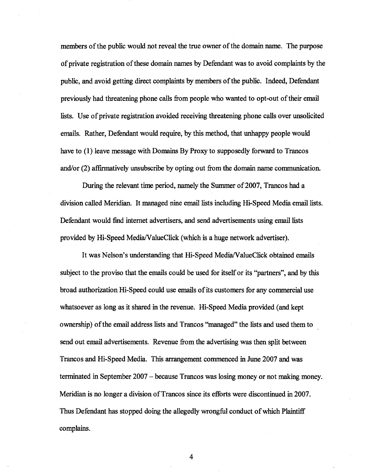members of the public would not reveal the true owner of the domain name. The purpose of private registration of these domain names by Defendant was to avoid complaints by the public, and avoid getting direct complaints by members of the public. Indeed, Defendant previously had threatening phone calls from people who wanted to opt-out of their email lists. Use of private registration avoided receiving threatening phone calls over unsolicited emails. Rather, Defendant would require, by this method, that unhappy people would have to (1) leave message with Domains By Proxy to supposedly forward to Trancos and/or (2) affirmatively unsubscribe by opting out from the domain name communication.

During the relevant time period, namely the Summer of 2007, Trancos had a division called Meridian. It managed nine email lists including Hi-Speed Media email lists. Defendant would find internet advertisers, and send advertisements using email lists provided by Hi-Speed Media/ValueClick (which is a huge network advertiser).

It was Nelson's understanding that Hi-Speed MedialValueClick obtained emails subject to the proviso that the emails could be used for itself or its ''partners'', and by this broad authorization Hi-Speed could use emails of its customers for any commercial use whatsoever as long as it shared in the revenue. Hi-Speed Media provided (and kept ownership) of the email address lists and Trancos "managed" the lists and used them to send out email advertisements. Revenue from the advertising was then split between Trancos and Hi-Speed Media. This arrangement commenced in June 2007 and was terminated in September 2007 - because Trancos was losing money or not making money. Meridian is no longer a division of Trancos since its efforts were discontinued in 2007. Thus Defendant has stopped doing the allegedly wrongful conduct of which Plaintiff complains.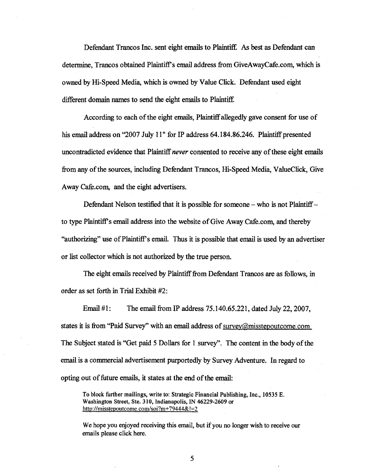Defendant Trancos Inc. sent eight emails to Plaintiff. As best as Defendant can determine, Trancos obtained Plaintiff's email address from GiveAwayCafe.com, which is owned by Hi-Speed Media, which is owned by Value Click. Defendant used eight different domain names to send the eight emails to Plaintiff.

According to each of the eight emails, Plaintiff allegedly gave consent for use of his email address on "2007 July 11" for IP address 64.184.86.246. Plaintiff presented uncontradicted evidence that Plaintiff *never* consented to receive any of these eight emails from any of the sources, including Defendant Trancos, Hi-Speed Media, ValueClick, Give Away Cafe.com, and the eight advertisers.

Defendant Nelson testified that it is possible for someone - who is not Plaintiff to type Plaintiff's email address into the website of Give AwayCafe.com, and thereby "authorizing" use of Plaintiff's email. Thus it is possible that email is used by an advertiser or list collector which is not authorized by the true person.

The eight emails received by Plaintiff from Defendant Trancos are as follows, in order as set forth in Trial Exhibit #2:

Email #1: The email from IP address 75.140.65.221, dated July 22,2007, states it is from "Paid Survey" with an email address of survey@misstepoutcome.com. The Subject stated is "Get paid 5 Dollars for 1 survey". The content in the body of the email is a commercial advertisement purportedly by Survey Adventure. In regard to opting out of future emails, it states at the end of the email:

To block further mailings, write to: Strategic Financial Publishing, Inc., 10535 E. Washington Street, Ste. 310, Indianapolis, IN 46229-2609 or http://misstepoutcome.com/soi?m+79444&!=2

We hope you enjoyed receiving this email, but if you no longer wish to receive our emails please click here.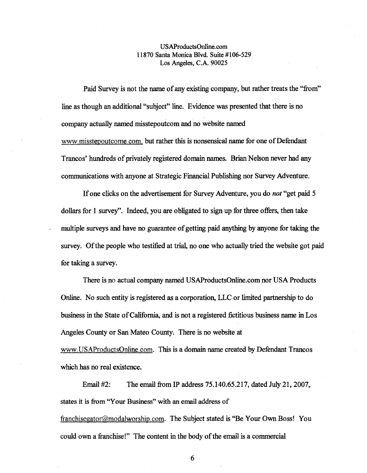# USAProductsOnline.com 11870 Santa Monica Blvd. Suite #106-529 Los Angeles, C.A. 90025

Paid Survey is not the name of any existing company, but rather treats the "from" line as though an additional "subject" line. Evidence was presented that there is no company actually named misstepoutcom and no website named www.misstepoutcome.com. but rather this is nonsensical name for one of Defendant Trancos' hundreds of privately registered domain names. Brian Nelson never had any communications with anyone at Strategic Financial Publishing nor Survey Adventure.

If one clicks on the advertisement for Survey Adventure, you do *not* "get paid 5 dollars for 1 survey". Indeed, you are obligated to sign up for three offers, then take multiple surveys and have no guarantee of getting paid anything by anyone for taking the survey. Of the people who testified at trial, no one who actually tried the website got paid for taking a survey.

There is no actual company named USAProductsOnline.com nor USA Products Online. No such entity is registered as a corporation, LtC or limited partnership to do business in the State of California, and is not a registered fictitious business name in Los Angeles County or San Mateo County. There is no website at

www.USAProductsOnline.com. This is a domain name created by Defendant Trancos which has no real existence.

Email #2: The email from IP address 75.140.65.217, dated July 21, 2007, states it is from "Your Business" with an email address of franchisegator@modalworship.com. The Subject stated is "Be Your Own Boss! You could own a franchise!" The content in the body of the email is a connnercial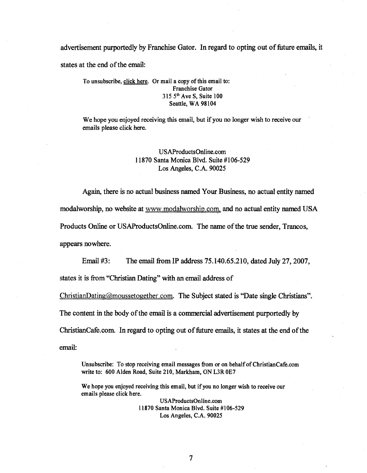advertisement purportedly by Franchise Gator. In regard to opting out of future emails, it states at the end of the email:

### To unsubscribe, click here. Or mail a copy of this email to: Franchise Gator  $3155<sup>th</sup>$  Ave S, Suite 100 Seattle, WA 98104

We hope you enjoyed receiving this email, but if you no longer wish to receive our emails please click here.

# USAProductsOnline.com 11870 Santa Monica Blvd. Suite #106-529 Los Angeles, C.A. 90025

Again, there is no actual business named Your Business, no actual entity named modalworship, no website at www.modalworship.com, and no actual entity named USA Products Online or USAProductsOnline.com. The name of the true sender, Trancos, appears nowhere.

Email #3: The email from IP address 75.140.65.210, dated July 27,2007, states it is from "Christian Dating" with an email address of

ChristianDating@moussetogether.com. The Subject stated is "Date single Christians". The content in the body of the email is a commercial advertisement purportedly by ChristianCafe.com. In regard to opting out of future emails, it states at the end of the email:

Unsubscribe: To stop receiving email messages from or on behalf of ChristianCafe.com write to: 600 Alden Road, Suite 210, Markham, ON L3R OE7

We hope you enjoyed receiving this email, but if you no longer wish to receive our emails please click here.

> USAProductsOnline.com 11870 Santa Monica Blvd. Suite #106-529 Los Angeles, C.A. 90025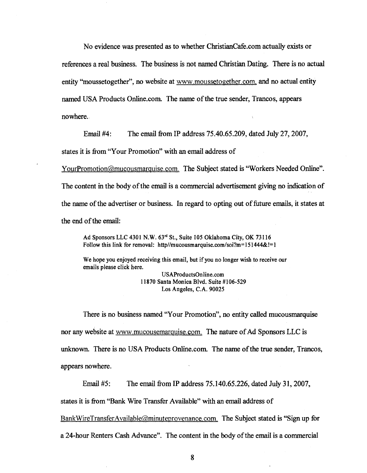No evidence was presented as to whether ChristianCafe.com actually exists or references a real business. The business is not named Christian Dating. There is no actual entity "moussetogether", no website at www.moussetogether.com, and no actual entity named USA Products Online. com. The name of the true sender, Trancos, appears nowhere.,

Email #4: The email from IP address 75.40.65.209, dated July 27,2007,

states it is from "Your Promotion" with an email address of

YourPromotion@mucousmarguise.com. The Subject stated is "Workers Needed Online". The content in the body of the email is a commercial advertisement giving no indication of the name of the advertiser or business. In regard to opting out offuture emails, it states at the end of the email:

Ad Sponsors LLC 4301 N.W. 63rd St., Suite 105 Oklahoma City, OK 73116 Follow this link for removal: http//mucousmarquise.com/soi?m=151444&!=1

We hope you enjoyed receiving this email, but if you no longer wish to receive our emails please click here.

> USAProductsOnline.com 11870 Santa Monica Blvd. Suite #106-529 Los Angeles, C.A. 90025

There is no business named "Your Promotion", no entity called mucousmarquise nor any website at www.mucousemarguise.com. The nature of Ad Sponsors LLC is unknown. There is no USA Products Online.com. The name of the true sender, Trancos, appears nowhere.

Email #5: The email from IP address 75.140.65.226, dated July 31,2007, states it is from "Bank Wire Transfer Available" with an email address of BankWireTransferAvailable@minuteprovenance.com. The Subject stated is "Sign up for a 24-hour Renters Cash Advance". The content in the body of the email is a commercial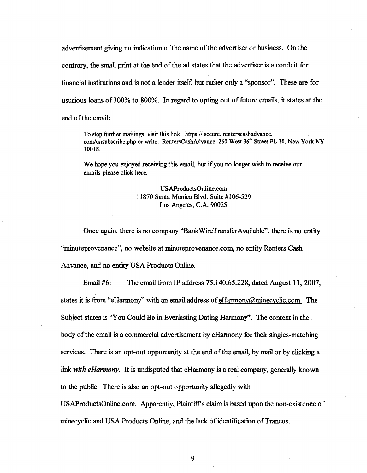advertisement giving no indication of the name of the advertiser or business. On the contrary, the small print at the end of the ad states that the advertiser is a conduit for financial institutions and is not a lender itself, but rather only a "sponsor". These are for usurious loans of 300% to 800%. In regard to opting out of future emails, it states at the end of the email:

To stop further mailings, visit this link: https:// secure. renterscashadvance. com/unsubscribe.php or write: RentersCashAdvance, 260 West 36<sup>th</sup> Street FL 10, New York NY 10018.

We hope you enjoyed receiving this email, but if you no longer wish to receive our emails please click here.

# USAProductsOnline.com 11870 Santa Monica Blvd. Suite #106-529' Los Angeles, C.A. 90025

Once again, there is no company "BankWireTransferAvailable", there is no entity ''minuteprovenance'', no website at minuteprovenance.com, no entity Renters Cash Advance, and no entity USA Products Online.

Email  $#6$ : The email from IP address 75.140.65.228, dated August 11, 2007, states it is from "eHarmony" with an email address of eHarmony@minecyclic.com. The Subject states is "You Could Be in Everlasting Dating Harmony". The content in the body of the email is a commercial advertisement byeHarmony for their singles-matching services. There is an opt-out opportunity at the end of the email, by mail or by clicking a link *with eHarmony*. It is undisputed that eHarmony is a real company, generally known to the public. There is also an opt-out opportunity allegedly with

USAProductsOnline.com. Apparently, Plaintiff's claim is based upon the non-existence of minecyclic and USA Products Online, and the lack of identification of Trancos.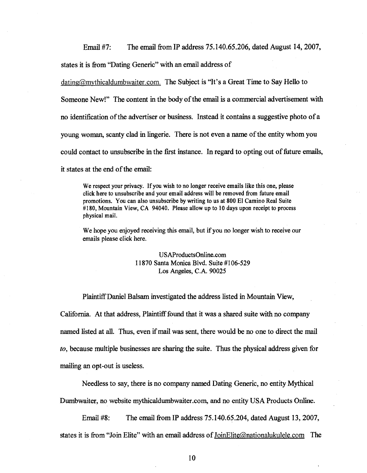Email #7: The email from IP address 75.140.65.206, dated August 14, 2007,

states it is from "Dating Generic" with an email address of

dating@mythicaldumbwaiter.com. The Subject is "It's a Great Time to Say Hello to Someone New!" The content in the body of the email is a commercial advertisement with no identification of the advertiser or business. Instead it contains a suggestive photo ofa young woman, scanty clad in lingerie. There is not even a name of the entity whom you could contact to unsubscribe in the first instance. In regard to opting out of future emails, it states at the end of the email:

We respect your privacy. If you wish to no longer receive emails like this one, please click here to unsubscribe and your email address will be removed from future email promotions. You can also unsubscribe by writing to us at 800 EI Camino Real Suite #180, Mountain View, CA 94040. Please allow up to 10 days upon receipt to process physical mail.

We hope you enjoyed receiving this email, but if you no longer wish to receive our emails please click here.

> USAProductsOnline.com 11870 Santa Monica Blvd. Suite #106-529 Los Angeles, C.A. 90025

Plaintiff Daniel Balsam investigated the address listed in Mountain View,

California. At that address, Plaintiff found that it was a shared suite with no company named listed at all. Thus, even if mail was sent, there would be no one to direct the mail *to,* because multiple businesses are sharing the suite. Thus the physical address given for mailing an opt-out is useless.

Needless to say, there is no company named Dating Generic, no entity Mythical

Dumbwaiter, no website mythicaldumbwaiter.com, and no entity USA Products Online.

Email #8: The email from IP address 75.140.65.204, dated August 13,2007, states it is from "Join Elite" with an email address of loinElite@nationalukulele.com The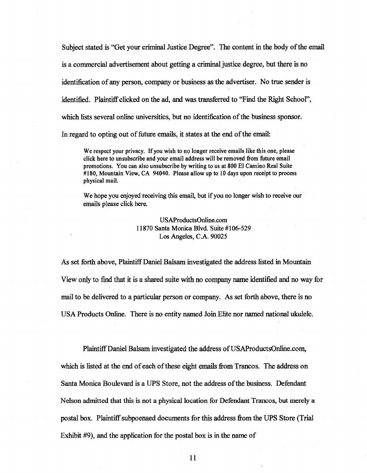Subject stated is "Get your criminal Justice Degree". The content in the body of the email is a commercial advertisement about getting a criminal justice degree, but there is no identification of any person, company or business as the advertiser. No true sender is identified. Plaintiff clicked on the ad, and was transferred to "Find the Right School", which lists several online universities, but no identification of the business sponsor. In regard to opting out of future emails, it states at the end of the email:

We respect your privacy. If you wish to no longer receive emails like this one, please click here to unsubscribe and your email address will be removed from future email promotions. You can also unsubscribe by writing to us at 800 EI Camino Real Suite #180, Mountain View, CA 94040. Please allow up to 10 days upon receipt to process physical mail.

We hope you enjoyed receiving this email, but if you no longer wish to receive our emails please click here.

> USAProductsOnline.com 11870 Santa Monica Blvd. Suite #106-529 Los Angeles, C.A. 90025

As set forth above, Plaintiff Daniel Balsam investigated the address listed in Mountain View only to find that it is a shared suite with no company name identified and no way for mail to be delivered to a particular person or company. As set forth above, there is no USA Products Online. There is no entity named Join Elite nor named national ukulele.

Plaintiff Daniel Balsam investigated the address of USAProductsOnline.com,

which is listed at the end of each of these eight emails from Trancos. The address on Santa Monica Boulevard is a UPS Store, not the address of the business. Defendant Nelson admitted that this is not a physical location for Defendant Trancos, but merely a postal box. Plaintiff subpoenaed documents for this address from the UPS Store (Trial Exhibit #9), and the application for the postal box is in the name of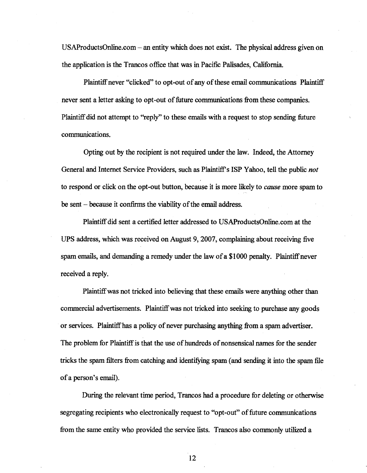USAProductsOnline.com - an entity which does not exist. The physical address given on the application is the Trancos office that was in Pacific Palisades, California.

Plaintiff never "clicked" to opt-out of any of these email communications Plaintiff never sent a letter asking to opt-out of future communications from these companies. Plaintiff did not attempt to "reply" to these emails with a request to stop sending future communications.

Opting out by the recipient is not required under the law. Indeed, the Attorney General and Internet Service Providers, such as Plaintiff's ISP Yahoo, tell the public *not*  to respond or click on the opt-out button, because it is more likely to *cause* more spam to be sent - because it confirms the viability of the email address.

Plaintiff did sent a certified letter addressed to USAProductsOnIine.com at the UPS address, which was received on August 9, 2007, complaining about receiving five spam emails, and demanding a remedy under the law of a \$1000 penalty. Plaintiff never received a reply.

Plaintiff was not tricked into believing that these emails were anything other than commercial advertisements. Plaintiff was not tricked into seeking to purchase any goods or services. Plaintiffhas a policy of never purchasing anything from a spam advertiser. The problem for Plaintiff is that the use of hundreds of nonsensical names for the sender tricks the spam filters from catching and identifYing spam (and sending it into the spam file of a person's email).

During the relevant time period, Trancos had a procedure for deleting or otherwise segregating recipients who electronically request to "opt-out" of future communications from the same entity who provided the service lists. Trancos also commonly utilized a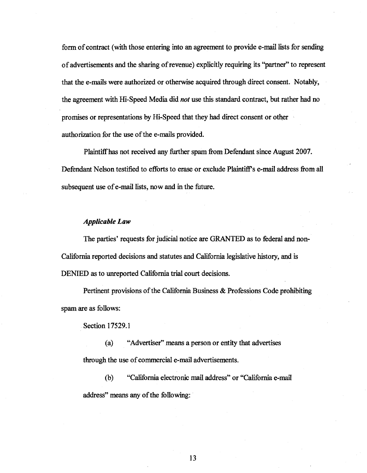form of contract (with those entering into an agreement to provide e-mail lists for sending of advertisements and the sharing of revenue) explicitly requiring its ''partner'' to represent that the e-mails were authorized or otherwise acquired through direct consent. Notably, the agreement with Hi~Speed Media did *not* use this standard contract, but rather had no promises or representations by Hi-Speed that they had direct consent or other authorization for the use of the e-mails provided.

Plaintiffhas not received any further spam from Defendant since August 2007. Defendant Nelson testified to efforts to erase or exclude Plaintiff's e-mail address from all subsequent use of e-mail lists, now and in the future.

#### *Applicable Law*

The parties' requests for judicial notice are GRANTED as to federal and non-California reported decisions and statutes and California legislative history, and is DENIED as to unreported California trial court decisions.

Pertinent provisions of the California Business & Professions Code prohibiting spam are as follows:

Section 17529.1

(a) "Advertiser" means a person or entity that advertises through the use of commercial e-mail advertisements.

(b) "California electronic mail address" or "California e-mail address" means any of the following: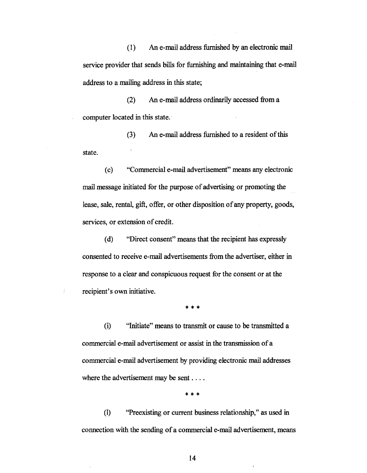(1) An e-mail address furnished by an electronic mail service provider that sends bills for furnishing and maintaining that e-mail address to a mailing address in this state;

(2) An e-mail address ordinarily accessed from a computer located in this state.

(3) An e-mail address furnished to a resident of this state.

( c) "Commercial e-mail advertisement" means any electronic mail message initiated for the purpose of advertising or promoting the lease, sale, rental, gift, offer, or other disposition of any property, goods, services, or extension of credit.

(d) "Direct consent" means that the recipient has expressly consented to receive e-mail advertisements from the advertiser, either in response to a clear and conspicuous request for the consent or at the recipient's own initiative.

\* \* \*

(i) "Initiate" means to transmit or cause to be transniitted a commercial e-mail advertisement or assist in the transmission of a commercial e-mail advertisement by providing electronic mail addresses where the advertisement may be sent ...

\*\*\*

(1) "Preexisting or current business relationship," as used in connection with the sending of a commercial e-mail advertisement, means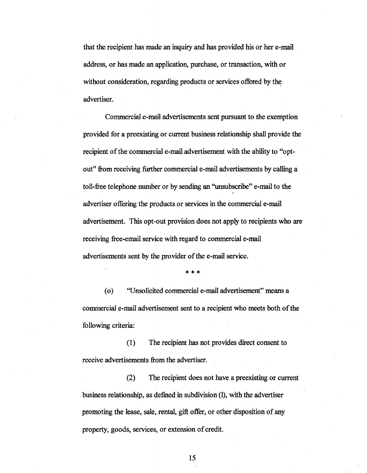that the recipient has made an inquiry and has provided his or her e-mail address, or has made an application, purchase, or transaction, with or without consideration, regarding products or services offered by the advertiser.

Commercial e-mail advertisements sent pursuant to the exemption provided for a preexisting or current business relationship shall provide the recipient of the commercial e-mail advertisement with the ability to "optout" from receiving further commercial e-mail advertisements by calling a toll-free telephone number or by sending an ''unsubscnbe'' e-mail to the advertiser offering the products or services in the commercial e-mail advertisement. This opt-out provision does not apply to recipients who are receiving free-email service with regard to commercial e-mail advertisements sent by the provider of the e-mail service.

\*\*\*

(0) "Unsolicited commercial e-mail advertisement" means a commercial e-mail advertisement sent to a recipient who meets both of the following criteria:

(I) The recipient has not provides direct consent to receive advertisements from the advertiser.

(2) The recipient does not have a preexisting or current business relationship, as defined in subdivision (1), with the advertiser promoting the lease, sale, rental, gift offer, or other disposition of any property, goods, services, or extension of credit.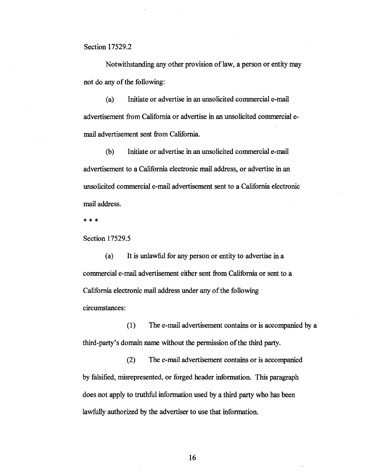Section 17529.2

Notwithstanding any other provision of law, a person or entity may not do any of the following:

(a) Initiate or advertise in an unsolicited commercial e-mail advertisement from California or advertise in an unsolicited commercial email advertisement sent from California.

(b) Initiate or advertise in an unsolicited commercial e-mail advertisement to a California electronic mail address, or advertise in an unsolicited commercial e-mail advertisement sent to a California electronic mail address.

\*\*\*

Section 17529.5

(a) It is unlawful for any person or entity to advertise in a commercial e-mail advertisement either sent from California or sent to a California electronic mail address under any of the following circumstances:

(1) The e-mail advertisement contains or is accompanied by a third-party's domain name without the permission of the third party.

(2) The e-mail advertisement contains or is accompanied by falsified, misrepresented, or forged header information. This paragraph does not apply to truthful information used by a third party who has been lawfully authorized by the advertiser to use that information.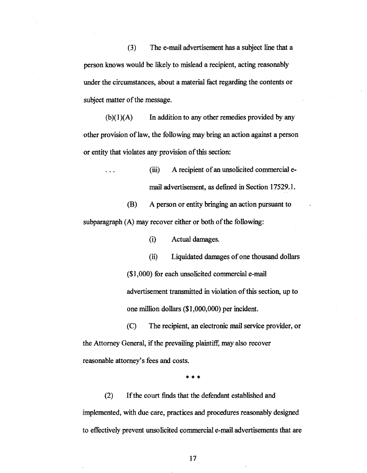(3) The e-mail advertisement has a subject line that a person knows would be likely to mislead a recipient, acting reasonably under the circumstances, about a material fact regarding the contents or subject matter of the message.

 $(b)(1)(A)$  In addition to any other remedies provided by any other provision of law, the following may bring an action against a person or entity that violates any provision of this section:

> (iii) A recipient of an unsolicited commercial email advertisement, as defined in Section 17529.1.

(B) A person or entity bringing an action pursuant to subparagraph (A) may recover either or both of the following:

(i) Actual damages.

(ii) Liquidated damages of one thousand dollars (\$1,000) for each unsolicited commercial e-mail advertisement transmitted in violation of this section, up to one million dollars (\$1,000,000) per incident.

(C) The recipient, an electronic mail service provider, or the Attorney General, if the prevailing plaintiff, may also recover reasonable attorney's fees and costs.

\*\*\*

(2) If the court finds that the defendant established and implemented, with due care, practices and procedures reasonably designed to effectively prevent unsolicited commercial e-mail advertisements that are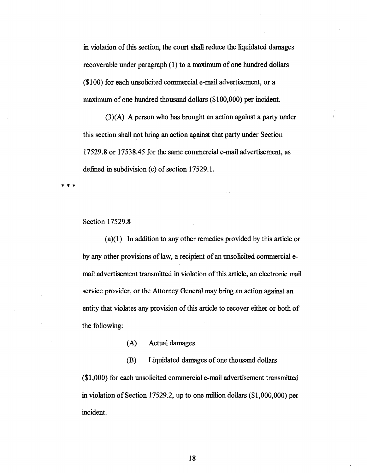in violation of this section, the court shall reduce the liquidated damages recoverable under paragraph (l) to a maximum of one hundred dollars (\$100) for each unsolicited commercial e-mail advertisement, or a maximum of one hundred thousand dollars (\$100,000) per incident.

(3)(A) A person who has brought an action against a party under this section shall not bring an action against that party under Section 17529.8 or 17538.45 for the same commercial e-mail advertisement.as defined in subdivision (c) of section 17529.1.

\*\*\*

### Section 17529.8

(a)(l) In addition to any other remedies provided by this article or by any other provisions of law, a recipient of an unsolicited commercial email advertisement transmitted in violation of this article, an electronic mail service provider, or the Attorney General may bring an action against an entity that violates any provision of this article to recover either or both of the following:

(A) Actual damages.

(B) Liquidated damages of one thousand dollars (\$1,000) for each unsolicited commercial e-mail advertisement transmitted in violation of Section 17529.2, up to one million dollars (\$1,000,000) per incident.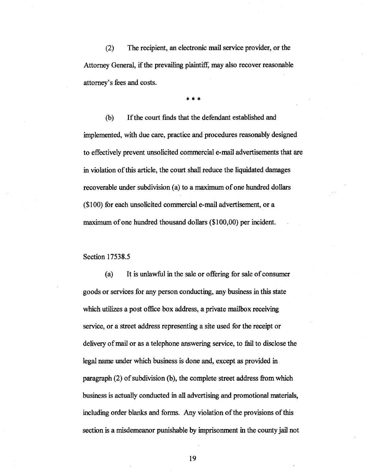(2) The recipient, an electronic mail service provider, or the Attorney General, if the prevailing plaintiff, may also recover reasonable attorney's fees and costs.

\*\*\*

(b) If the court finds that the defendant established and implemented, with due care, practice and procedures reasonably designed to effectively prevent unsolicited commercial e-mail advertisements that are in violation of this article, the court shall reduce the liquidated damages recoverable under subdivision (a) to a maximum of one hundred dollars (\$100) for each unsolicited commercial e-mail advertisement, or a maximum of one hundred thousand dollars (\$100,00) per incident.

Section 17538.5

(a) It is unlawful in the sale or offering for sale of consumer goods or services for any person conducting, any business in this state which utilizes a post office box address, a private mailbox receiving service, or a street address representing a site used for the receipt or delivery of mail or as a telephone answering service, to fail to disclose the legal name under which business is done and, except as provided in. paragraph (2) of subdivision (b), the complete street address from which business is actually conducted in all advertising and promotional materials. including order blanks and forms. Any violation of the provisions of this section is a misdemeanor punishable by imprisonment in the county jail not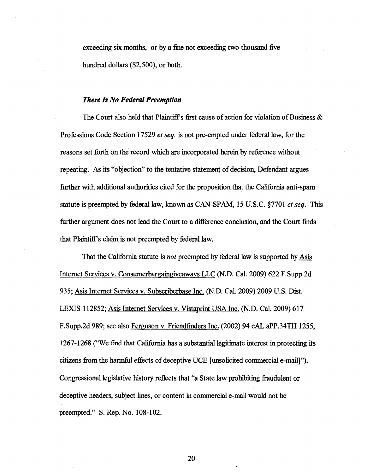exceeding six months, or by a fine not exceeding two thousand five hundred dollars (\$2,500), or both.

#### *There Is No Federal Preemption*

The Court also held that Plaintiff's first cause of action for violation of Business & Professions Code Section 17529 *et seq.* is not pre-empted under federal law, for the reasons set forth on the record which are incorporated herein by reference without repeating. As its "objection" to the tentative statement of decision, Defendant argues further with additional authorities cited for the proposition that the California anti-spam statute is preempted by federal law, known as CAN-SPAM, 15 U.S.C. §7701 *et seq.* This further argument does not lead the Court to a difference conclusion, and the Court finds that Plaintiffs claim is not preempted by federal law.

That the California statute is *not* preempted by federal law is supported by Asis Internet Services v. Consumerbargaingjveaways LLC (N.D. Cal. 2009) 622 F.Supp.2d 935; Asis Internet Services v. Subscriberbase Inc. (N.D. Cal. 2009) 2009 U.S. Dist. LEXIS 112852; Asis Internet Services v. Vistaprint USA Inc. (N.D. Cal. 2009) 617 F.Supp.2d 989; see also Ferguson v. Friendfinders Inc. (2002) 94 cAL.aPP.34TH 1255, 1267-1268 ("We find that California has a substantial legitimate interest in protecting its citizens from the harmful effects of deceptive UCE [unsolicited commercial e-mail]"). Congressional legislative history reflects that "a State law prohibiting fraudulent or deceptive headers, subject lines, or content in commercial e-mail would not be preempted." S. Rep. No. 108-102.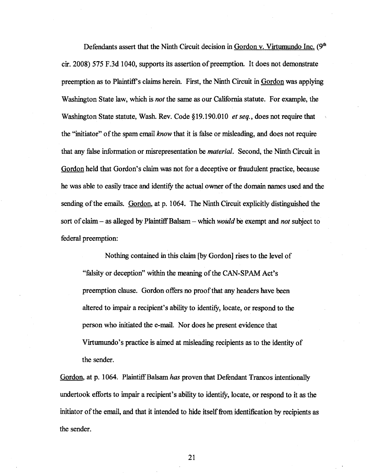Defendants assert that the Ninth Circuit decision in Gordon v. Virtumundo Inc.  $(9<sup>th</sup>$ cir. 2008) 575 F.3d 1040, supports its assertion of preemption. It does not demonstrate preemption as to Plaintiff's claims herein. First, the Ninth Circuit in Gordon was applying Washington State law, which is *not* the same as our California statute. For example, the Washington State statute, Wash. Rev. Code §19.190.01O *et seq.,* does not require that the ''initiator'' of the spam email *know* that it is false or misleading, and does not require that any false information or misrepresentation be *material.* Second, the Ninth Circuit in Gordon held that Gordon's claim was not for a deceptive or fraudulent practice, because he was able to easily trace and identify the actual owner of the domain names used and the sending of the emails. Gordon, at p. 1064. The Ninth Circuit explicitly distinguished the sort of claim - as alleged by Plaintiff Balsam - which *would* be exempt and *not* subject to federal preemption:

Nothing contained in this claim [by Gordon] rises to the level of "falsity or deception" within the meaning of the CAN-SPAM Act's preemption clause. Gordon offers no proof that any headers have been altered to impair a recipient's ability to identifY, locate, or respond to the person who initiated the e-mail. Nor does he present evidence that Virtumundo's practice is aimed at misleading recipients as to the identity of the sender.

Gordon, at p. 1064. Plaintiff Balsam *has* proven that Defendant Trancos intentionally undertook efforts to impair a recipient's ability to identifY, locate, or respond to it as the initiator of the email, and that it intended to hide itself from identification by recipients as the sender.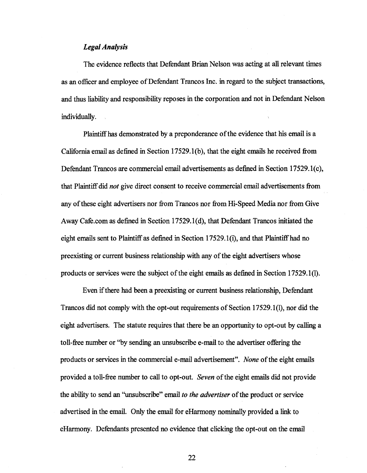### *Legal Analysis*

The evidence reflects that Defendant Brian Nelson was acting at all relevant times as an officer and employee of Defendant Trancos Inc. in regard to the subject transactions, and thus liability and responsibility reposes in the corporation and not in Defendant Nelson individually.

Plaintiffhas demonstrated by a preponderance of the evidence that his email is a California email as defined in Section 17529.1(b), that the eight emails he received from Defendant Trancos are commercial email advertisements as defined in Section 17529.1(c), that Plaintiff did *not* give direct consent to receive commercial email advertisements from· any of these eight advertisers nor from Trancos nor from Hi-Speed Media nor from Give Away Cafe.com as defined in Section 17529 .1 (d), that Defendant Trancos initiated the eight emails sent to Plaintiff as defined in Section 17529.1(i), and that Plaintiff had no preexisting or current business relationship with any of the eight advertisers whose products or services were the subject of the eight emails as defined in Section 17529.1(1).

Even if there had been a preexisting or current business relationship, Defendant Trancos did not comply with the opt-out requirements of Section 17529.1(1), nor did the eight advertisers. The statute requires that there be an opportunity to opt-out by calling a toll-free number or "by sending an unsubscribe e-mail to the advertiser offering the products or services in the commercial e-mail advertisement". *None* of the eight emails provided a toll-free number to call to opt-out. *Seven* of the eight emails did not provide the ability to send an ''unsubscribe'' email *to the advertiser* of the product or service advertised in the email. Only the email for eHarmony nominally provided a link to eHarmony. Defendants presented no evidence that clicking the opt-out on the email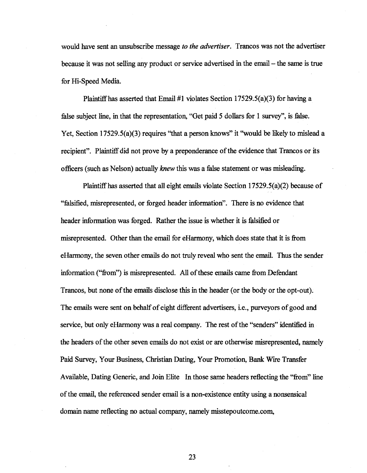would have sent an unsubscribe message *to the advertiser.* Trancos was not the advertiser because it was not selling any product or service advertised in the email- the same is true for Hi-Speed Media.

Plaintiff has asserted that Email #1 violates Section 17529.5(a)(3) for having a false subject line, in that the representation, "Get paid 5 dollars for 1 survey", is false. Yet, Section 17529.5(a)(3) requires "that a person knows" it "would be likely to mislead a recipient". Plaintiff did not prove by a preponderance of the evidence that Trancos or its officers (such as Nelson) actually *knew* this was a false statement or was misleading.

Plaintiffhas asserted that all eight emails violate Section 17529.5(a)(2) because of ''falsified, misrepresented, or forged header information". There is no evidence that header information was forged. Rather the issue is whether it is falsified or misrepresented. Other than the email for eHarmony, which does state that it is from eHarmony, the seven other emails do not truly reveal who sent the email. Thus the sender information ("from") is misrepresented. All of these emails came from Defendant Trancos, but none of the emails disclose this in the header (or the body or the opt-out). The emails were sent on behalf of eight different advertisers, i.e., purveyors of good and service, but only eHarmony was a real company. The rest of the "senders" identified in the headers of the other seven emails do not exist or are otherwise misrepresented, namely Paid Survey, Your Business, Christian Dating, Your Promotion, Bank. Wire Transfer Available, Dating Generic, and Join Elite In those same headers reflecting the "from" line of the email, the referenced sender email is a non-existence entity using a nonsensical domain name reflecting no actual company, namely misstepoutcome.com,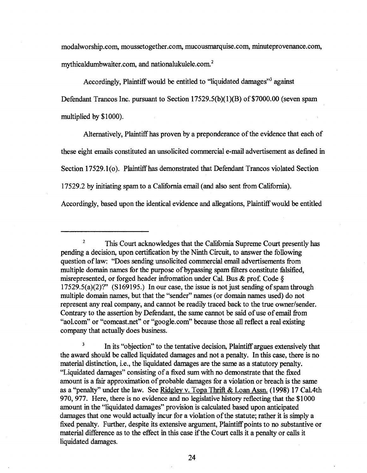modalworship.com, moussetogether.com, mucousmarquise.com, minuteprovenance.com, mythicaldumbwaiter.com, and nationalukulele.com.<sup>2</sup>

Accordingly, Plaintiff would be entitled to "liquidated damages"<sup>3</sup> against Defendant Trancos Inc. pursuant to Section  $17529.5(b)(1)(B)$  of \$7000.00 (seven spam multiplied by \$1000).

Alternatively, Plaintiff has proven by a preponderance of the evidence that each of these eight emails constituted an unsolicited commercial e-mail advertisement as defined in Section 17529.1(0). Plaintiffhas demonstrated that Defendant Trancos violated Section 17529.2 by initiating spam to a California email (and also sent from California).

Accordingly, based upon the identical evidence and allegations, Plaintiff would be entitled

<sup>3</sup> In its "objection" to the tentative decision, Plaintiff argues extensively that the award should be called liquidated damages and not a penalty. In this case, there is no material distinction, i.e., the liquidated damages are the same as a statutory penalty. "Liquidated damages" consisting of a fixed sum with no demonstrate that the fixed amount is a fair approximation of probable damages for a violation or breach is the same as a "penalty" under the law. See Ridgley v. Topa Thrift & Loan Assn. (1998) 17 Cal.4th 970, 977. Here, there is no evidence and no legislative history reflecting that the \$1000 amount in the "liquidated damages" provision is calculated based upon anticipated damages that one would actually incur for a violation of the statute; rather it is simply a fixed penalty. Further, despite its extensive argument, Plaintiff points to no substantive or material difference as to the effect in this case if the Court calls it a penalty or calls it liquidated damages.

<sup>&</sup>lt;sup>2</sup> This Court acknowledges that the California Supreme Court presently has pending a decision, upon certification by the Ninth Circuit, to answer the following question of law: "Does sending unsolicited commercial email advertisements from muhiple domain names for the purpose of bypassing spam filters constitute falsified, misrepresented, or forged header infromation under Cal. Bus & prof. Code §  $17529.5(a)(2)$ ?" (S169195.) In our case, the issue is not just sending of spam through multiple domain names, but that the "sender" names (or domain names used) do not represent any real company, and cannot be readily traced back to the true owner/sender. Contrary to the assertion by Defendant, the same cannot be said of use of email from "aol.com" or "comcast.net" or "google.com" because those all reflect a real existing company that actually does business.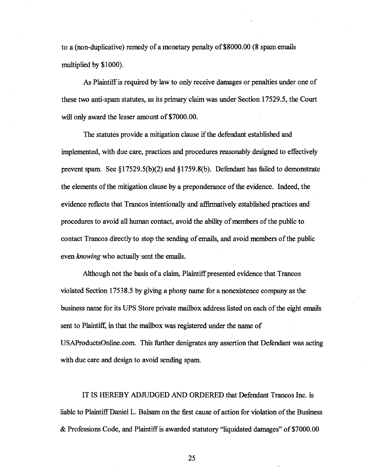to a (non-duplicative) remedy of a monetary penalty of \$8000.QO (8 spam emails muhiplied by \$1000).

As Plaintiff is required by law to only receive damages or penalties under one of these two anti-spam statutes, as its primary claim was under Section 17529.5, the Court will only award the lesser amount of \$7000.00.

The statutes provide a mitigation clause if the defendant established and implemented, with due care, practices and procedures reasonably designed to effectively prevent spam. See §17529.5(b)(2) and §1759.8(b). Defendant has failed to demonstrate the elements of the mitigation clause by a preponderance of the evidence. Indeed, the evidence reflects that Trancos intentionally and affirmatively established practices and procedures to avoid all human contact, avoid the ability of members of the public to contact Trancos directly to stop the sending of emails, and avoid members of the public even *knowing* who actually sent the emails.

Although not the basis of a claim, Plaintiff presented evidence that Trancos violated Section 17538.5 by giving a phony name for a nonexistence company as the business name for its UPS Store private mailbox address listed on each of the eight emails sent to Plaintiff, in that the mailbox was registered under the name of USAProductsOnline.com. This further denigrates any assertion that Defendant was acting with due care and design to avoid sending spam.

IT IS HEREBY ADJUDGED AND ORDERED that Defendant Trancos Inc. is liable to Plaintiff Daniel L. Balsam on the first cause of action for violation of the Business & Professions Code, and Plaintiffis awarded statutory "liquidated damages" of\$7000.00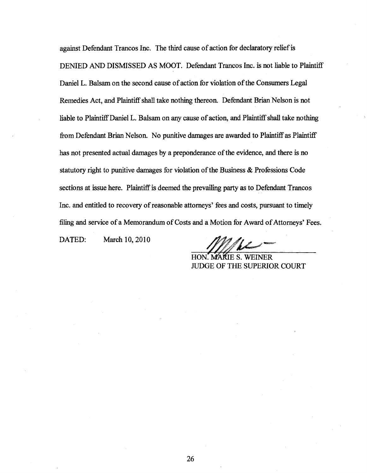against Defendant Trancos Inc. The third cause of action for declaratory relief is DENIED AND DISMISSED AS MOOT. Defendant Trancos Inc. is not liable to Plaintiff Daniel L. Balsam on the second cause of action for violation of the Consumers Legal Remedies Act, and Plaintiff shall take nothing thereon. Defendant Brian Nelson is not liable to Plaintiff Daniel L. Balsam on any cause of action, and Plaintiff shall take nothing from Defendant Brian Nelson. No punitive damages are awarded to Plaintiff as Plaintiff has not presented actual damages by a preponderance of the evidence, and there is no statutory right to punitive damages for violation of the Business & Professions Code sections at issue here. Plaintiff is deemed the prevailing party as to Defendant Trancos Inc. and entitled to recovery of reasonable attorneys' fees and costs, pursuant to timely filing and service of a Memorandum of Costs and a Motion for Award of Attorneys' Fees.

DATED: March 10, 2010

MARIE S. WEINER JUDGE OF THE SUPERIOR COURT